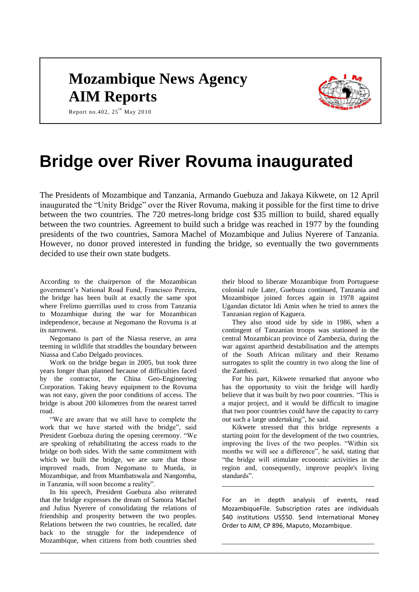## **Mozambique News Agency AIM Reports**



Report no.402,  $25^{th}$  May 2010

# **Bridge over River Rovuma inaugurated**

The Presidents of Mozambique and Tanzania, Armando Guebuza and Jakaya Kikwete, on 12 April inaugurated the "Unity Bridge" over the River Rovuma, making it possible for the first time to drive between the two countries. The 720 metres-long bridge cost \$35 million to build, shared equally between the two countries. Agreement to build such a bridge was reached in 1977 by the founding presidents of the two countries, Samora Machel of Mozambique and Julius Nyerere of Tanzania. However, no donor proved interested in funding the bridge, so eventually the two governments decided to use their own state budgets.

According to the chairperson of the Mozambican government's National Road Fund, Francisco Pereira, the bridge has been built at exactly the same spot where Frelimo guerrillas used to cross from Tanzania to Mozambique during the war for Mozambican independence, because at Negomano the Rovuma is at its narrowest.

Negomano is part of the Niassa reserve, an area teeming in wildlife that straddles the boundary between Niassa and Cabo Delgado provinces.

Work on the bridge began in 2005, but took three years longer than planned because of difficulties faced by the contractor, the China Geo-Engineering Corporation. Taking heavy equipment to the Rovuma was not easy, given the poor conditions of access. The bridge is about 200 kilometres from the nearest tarred road.

"We are aware that we still have to complete the work that we have started with the bridge", said President Guebuza during the opening ceremony. "We are speaking of rehabilitating the access roads to the bridge on both sides. With the same commitment with which we built the bridge, we are sure that those improved roads, from Negomano to Mueda, in Mozambique, and from Mtambatswala and Nangomba, in Tanzania, will soon become a reality".

In his speech, President Guebuza also reiterated that the bridge expresses the dream of Samora Machel and Julius Nyerere of consolidating the relations of friendship and prosperity between the two peoples. Relations between the two countries, he recalled, date back to the struggle for the independence of Mozambique, when citizens from both countries shed their blood to liberate Mozambique from Portuguese colonial rule Later, Guebuza continued, Tanzania and Mozambique joined forces again in 1978 against Ugandan dictator Idi Amin when he tried to annex the Tanzanian region of Kaguera.

They also stood side by side in 1986, when a contingent of Tanzanian troops was stationed in the central Mozambican province of Zambezia, during the war against apartheid destabilisation and the attempts of the South African military and their Renamo surrogates to split the country in two along the line of the Zambezi.

For his part, Kikwete remarked that anyone who has the opportunity to visit the bridge will hardly believe that it was built by two poor countries. "This is a major project, and it would be difficult to imagine that two poor countries could have the capacity to carry out such a large undertaking", he said.

Kikwete stressed that this bridge represents a starting point for the development of the two countries, improving the lives of the two peoples. "Within six months we will see a difference", he said, stating that "the bridge will stimulate economic activities in the region and, consequently, improve people's living standards".

For an in depth analysis of events, read MozambiqueFile. Subscription rates are individuals \$40 institutions US\$50. Send International Money Order to AIM, CP 896, Maputo, Mozambique.

\_\_\_\_\_\_\_\_\_\_\_\_\_\_\_\_\_\_\_\_\_\_\_\_\_\_\_\_\_\_\_\_\_\_\_\_\_\_\_\_\_\_\_\_\_\_\_\_\_\_\_\_\_\_\_\_\_\_\_\_\_\_\_\_\_

\_\_\_\_\_\_\_\_\_\_\_\_\_\_\_\_\_\_\_\_\_\_\_\_\_\_\_\_\_\_\_\_\_\_\_\_\_\_\_\_\_\_\_\_\_\_\_\_\_\_\_\_\_\_\_\_\_\_\_\_\_\_\_\_\_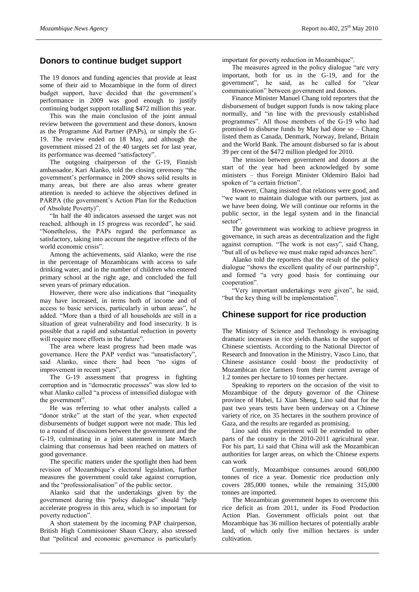#### **Donors to continue budget support**

The 19 donors and funding agencies that provide at least some of their aid to Mozambique in the form of direct budget support, have decided that the government's performance in 2009 was good enough to justify continuing budget support totalling \$472 million this year.

This was the main conclusion of the joint annual review between the government and these donors, known as the Programme Aid Partner (PAPs), or simply the G-19. The review ended on 18 May, and although the government missed 21 of the 40 targets set for last year, its performance was deemed "satisfactory".

The outgoing chairperson of the G-19, Finnish ambassador, Kari Alanko, told the closing ceremony "the government's performance in 2009 shows solid results in many areas, but there are also areas where greater attention is needed to achieve the objectives defined in PARPA (the government's Action Plan for the Reduction of Absolute Poverty)".

"In half the 40 indicators assessed the target was not reached, although in 15 progress was recorded", he said. "Nonetheless, the PAPs regard the performance as satisfactory, taking into account the negative effects of the world economic crisis".

Among the achievements, said Alanko, were the rise in the percentage of Mozambicans with access to safe drinking water, and in the number of children who entered primary school at the right age, and concluded the full seven years of primary education.

However, there were also indications that "inequality may have increased, in terms both of income and of access to basic services, particularly in urban areas", he added. "More than a third of all households are still in a situation of great vulnerability and food insecurity. It is possible that a rapid and substantial reduction in poverty will require more efforts in the future".

The area where least progress had been made was governance. Here the PAP verdict was "unsatisfactory", said Alanko, since there had been "no signs of improvement in recent years",

The G-19 assessment that progress in fighting corruption and in "democratic processes" was slow led to what Alanko called "a process of intensified dialogue with the government".

He was referring to what other analysts called a "donor strike" at the start of the year, when expected disbursements of budget support were not made. This led to a round of discussions between the government and the G-19, culminating in a joint statement in late March claiming that consensus had been reached on matters of good governance.

The specific matters under the spotlight then had been revision of Mozambique's electoral legislation, further measures the government could take against corruption, and the "professionalisation" of the public sector.

Alanko said that the undertakings given by the government during this "policy dialogue" should "help accelerate progress in this area, which is so important for poverty reduction".

A short statement by the incoming PAP chairperson, British High Commissioner Shaun Cleary, also stressed that "political and economic governance is particularly important for poverty reduction in Mozambique".

The measures agreed in the policy dialogue "are very important, both for us in the G-19, and for the government", he said, as he called for "clear communication" between government and donors.

Finance Minister Manuel Chang told reporters that the disbursement of budget support funds is now taking place normally, and "in line with the previously established programmes". All those members of the G-19 who had promised to disburse funds by May had done so – Chang listed them as Canada, Denmark, Norway, Ireland, Britain and the World Bank. The amount disbursed so far is about 39 per cent of the \$472 million pledged for 2010.

The tension between government and donors at the start of the year had been acknowledged by some ministers – thus Foreign Minister Oldemiro Baloi had spoken of "a certain friction".

However, Chang insisted that relations were good, and "we want to maintain dialogue with our partners, just as we have been doing. We will continue our reforms in the public sector, in the legal system and in the financial sector".

The government was working to achieve progress in governance, in such areas as decentralization and the fight against corruption. "The work is not easy", said Chang, "but all of us believe we must make rapid advances here".

Alanko told the reporters that the result of the policy dialogue "shows the excellent quality of our partnership", and formed "a very good basis for continuing our cooperation".

"Very important undertakings were given", he said, "but the key thing will be implementation".

#### **Chinese support for rice production**

The Ministry of Science and Technology is envisaging dramatic increases in rice yields thanks to the support of Chinese scientists. According to the National Director of Research and Innovation in the Ministry, Vasco Lino, that Chinese assistance could boost the productivity of Mozambican rice farmers from their current average of 1.2 tonnes per hectare to 10 tonnes per hectare.

Speaking to reporters on the occasion of the visit to Mozambique of the deputy governor of the Chinese province of Hubei, Li Xian Sheng, Lino said that for the past two years tests have been underway on a Chinese variety of rice, on 35 hectares in the southern province of Gaza, and the results are regarded as promising.

Lino said this experiment will be extended to other parts of the country in the 2010-2011 agricultural year. For his part, Li said that China will ask the Mozambican authorities for larger areas, on which the Chinese experts can work

Currently, Mozambique consumes around 600,000 tonnes of rice a year. Domestic rice production only covers 285,000 tonnes, while the remaining 315,000 tonnes are imported.

The Mozambican government hopes to overcome this rice deficit as from 2011, under its Food Production Action Plan. Government officials point out that Mozambique has 36 million hectares of potentially arable land, of which only five million hectares is under cultivation.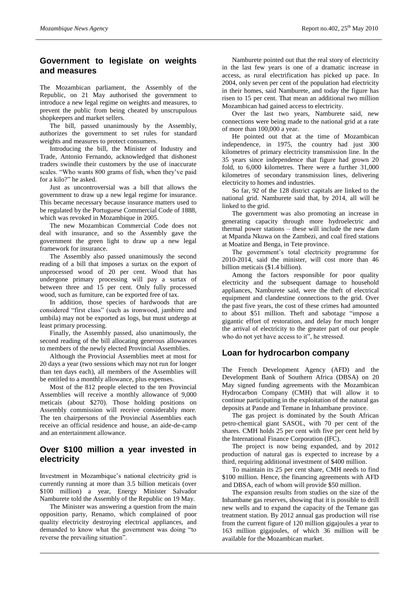#### **Government to legislate on weights and measures**

The Mozambican parliament, the Assembly of the Republic, on 21 May authorised the government to introduce a new legal regime on weights and measures, to prevent the public from being cheated by unscrupulous shopkeepers and market sellers.

The bill, passed unanimously by the Assembly, authorizes the government to set rules for standard weights and measures to protect consumers.

Introducing the bill, the Minister of Industry and Trade, Antonio Fernando, acknowledged that dishonest traders swindle their customers by the use of inaccurate scales. "Who wants 800 grams of fish, when they've paid for a kilo?" he asked.

Just as uncontroversial was a bill that allows the government to draw up a new legal regime for insurance. This became necessary because insurance matters used to be regulated by the Portuguese Commercial Code of 1888, which was revoked in Mozambique in 2005.

The new Mozambican Commercial Code does not deal with insurance, and so the Assembly gave the government the green light to draw up a new legal framework for insurance.

The Assembly also passed unanimously the second reading of a bill that imposes a surtax on the export of unprocessed wood of 20 per cent. Wood that has undergone primary processing will pay a surtax of between three and 15 per cent. Only fully processed wood, such as furniture, can be exported free of tax.

In addition, those species of hardwoods that are considered "first class" (such as ironwood, jambirre and umbila) may not be exported as logs, but must undergo at least primary processing.

Finally, the Assembly passed, also unanimously, the second reading of the bill allocating generous allowances to members of the newly elected Provincial Assemblies.

Although the Provincial Assemblies meet at most for 20 days a year (two sessions which may not run for longer than ten days each), all members of the Assemblies will be entitled to a monthly allowance, plus expenses.

Most of the 812 people elected to the ten Provincial Assemblies will receive a monthly allowance of 9,000 meticais (about \$270). Those holding positions on Assembly commission will receive considerably more. The ten chairpersons of the Provincial Assemblies each receive an official residence and house, an aide-de-camp and an entertainment allowance.

#### **Over \$100 million a year invested in electricity**

Investment in Mozambique's national electricity grid is currently running at more than 3.5 billion meticais (over \$100 million) a year, Energy Minister Salvador Namburete told the Assembly of the Republic on 19 May.

The Minister was answering a question from the main opposition party, Renamo, which complained of poor quality electricity destroying electrical appliances, and demanded to know what the government was doing "to reverse the prevailing situation".

Namburete pointed out that the real story of electricity in the last few years is one of a dramatic increase in access, as rural electrification has picked up pace. In 2004, only seven per cent of the population had electricity in their homes, said Namburete, and today the figure has risen to 15 per cent. That mean an additional two million Mozambican had gained access to electricity.

Over the last two years, Namburete said, new connections were being made to the national grid at a rate of more than 100,000 a year.

He pointed out that at the time of Mozambican independence, in 1975, the country had just 300 kilometres of primary electricity transmission line. In the 35 years since independence that figure had grown 20 fold, to 6,000 kilometres. There were a further 31,000 kilometres of secondary transmission lines, delivering electricity to homes and industries.

So far, 92 of the 128 district capitals are linked to the national grid. Namburete said that, by 2014, all will be linked to the grid.

The government was also promoting an increase in generating capacity through more hydroelectric and thermal power stations – these will include the new dam at Mpanda Nkuwa on the Zambezi, and coal fired stations at Moatize and Benga, in Tete province.

The government's total electricity programme for 2010-2014, said the minister, will cost more than 46 billion meticais (\$1.4 billion).

Among the factors responsible for poor quality electricity and the subsequent damage to household appliances, Namburete said, were the theft of electrical equipment and clandestine connections to the grid. Over the past five years, the cost of these crimes had amounted to about \$51 million. Theft and sabotage "impose a gigantic effort of restoration, and delay for much longer the arrival of electricity to the greater part of our people who do not yet have access to it", he stressed.

#### **Loan for hydrocarbon company**

The French Development Agency (AFD) and the Development Bank of Southern Africa (DBSA) on 20 May signed funding agreements with the Mozambican Hydrocarbon Company (CMH) that will allow it to continue participating in the exploitation of the natural gas deposits at Pande and Temane in Inhambane province.

The gas project is dominated by the South African petro-chemical giant SASOL, with 70 per cent of the shares. CMH holds 25 per cent with five per cent held by the International Finance Corporation (IFC).

The project is now being expanded, and by 2012 production of natural gas is expected to increase by a third, requiring additional investment of \$400 million.

To maintain its 25 per cent share, CMH needs to find \$100 million. Hence, the financing agreements with AFD and DBSA, each of whom will provide \$50 million.

The expansion results from studies on the size of the Inhambane gas reserves, showing that it is possible to drill new wells and to expand the capacity of the Temane gas treatment station. By 2012 annual gas production will rise from the current figure of 120 million gigajoules a year to 163 million gigajoules, of which 36 million will be available for the Mozambican market.